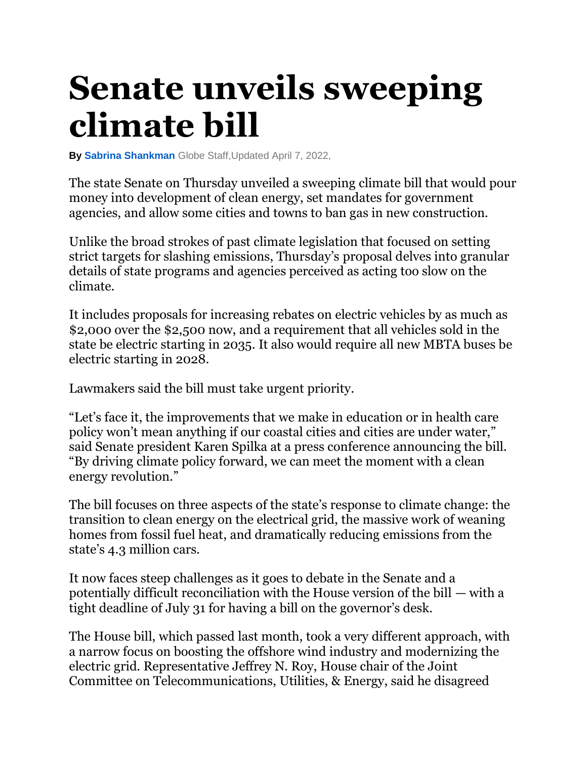## **Senate unveils sweeping climate bill**

**By [Sabrina Shankman](https://www.bostonglobe.com/about/staff-list/staff/sabrina-shankman/?p1=Article_Byline)** Globe Staff,Updated April 7, 2022,

The state Senate on Thursday unveiled a sweeping climate bill that would pour money into development of clean energy, set mandates for government agencies, and allow some cities and towns to ban gas in new construction.

Unlike the broad strokes of past climate legislation that focused on setting strict targets for slashing emissions, Thursday's proposal delves into granular details of state programs and agencies perceived as acting too slow on the climate.

It includes proposals for increasing rebates on electric vehicles by as much as \$2,000 over the \$2,500 now, and a requirement that all vehicles sold in the state be electric starting in 2035. It also would require all new MBTA buses be electric starting in 2028.

Lawmakers said the bill must take urgent priority.

"Let's face it, the improvements that we make in education or in health care policy won't mean anything if our coastal cities and cities are under water," said Senate president Karen Spilka at a press conference announcing the bill. "By driving climate policy forward, we can meet the moment with a clean energy revolution."

The bill focuses on three aspects of the state's response to climate change: the transition to clean energy on the electrical grid, the massive work of weaning homes from fossil fuel heat, and dramatically reducing emissions from the state's 4.3 million cars.

It now faces steep challenges as it goes to debate in the Senate and a potentially difficult reconciliation with the House version of the bill — with a tight deadline of July 31 for having a bill on the governor's desk.

The House bill, which passed last month, took a very different approach, with a narrow focus on boosting the offshore wind industry and modernizing the electric grid. Representative Jeffrey N. Roy, House chair of the Joint Committee on Telecommunications, Utilities, & Energy, said he disagreed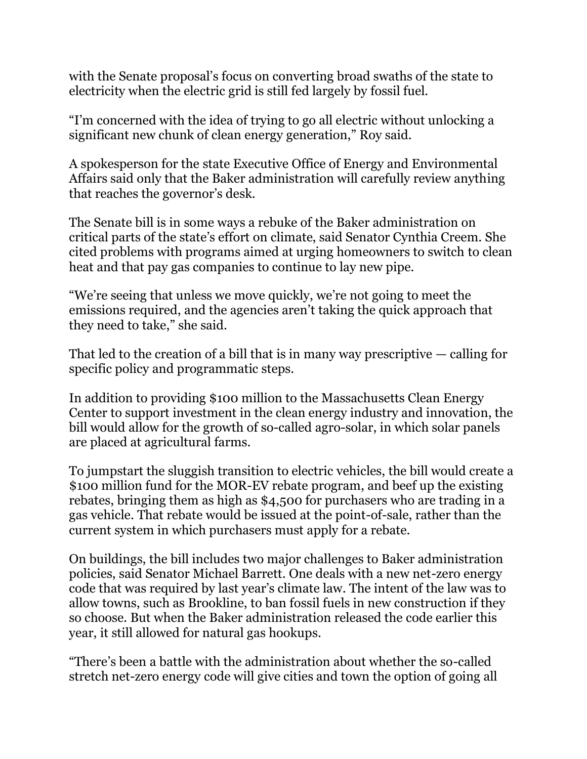with the Senate proposal's focus on converting broad swaths of the state to electricity when the electric grid is still fed largely by fossil fuel.

"I'm concerned with the idea of trying to go all electric without unlocking a significant new chunk of clean energy generation," Roy said.

A spokesperson for the state Executive Office of Energy and Environmental Affairs said only that the Baker administration will carefully review anything that reaches the governor's desk.

The Senate bill is in some ways a rebuke of the Baker administration on critical parts of the state's effort on climate, said Senator Cynthia Creem. She cited problems with programs aimed at urging homeowners to switch to clean heat and that pay gas companies to continue to lay new pipe.

"We're seeing that unless we move quickly, we're not going to meet the emissions required, and the agencies aren't taking the quick approach that they need to take," she said.

That led to the creation of a bill that is in many way prescriptive — calling for specific policy and programmatic steps.

In addition to providing \$100 million to the Massachusetts Clean Energy Center to support investment in the clean energy industry and innovation, the bill would allow for the growth of so-called agro-solar, in which solar panels are placed at agricultural farms.

To jumpstart the sluggish transition to electric vehicles, the bill would create a \$100 million fund for the MOR-EV rebate program, and beef up the existing rebates, bringing them as high as \$4,500 for purchasers who are trading in a gas vehicle. That rebate would be issued at the point-of-sale, rather than the current system in which purchasers must apply for a rebate.

On buildings, the bill includes two major challenges to Baker administration policies, said Senator Michael Barrett. One deals with a new net-zero energy code that was required by last year's climate law. The intent of the law was to allow towns, such as Brookline, to ban fossil fuels in new construction if they so choose. But when the Baker administration released the code earlier this year, it still allowed for natural gas hookups.

"There's been a battle with the administration about whether the so-called stretch net-zero energy code will give cities and town the option of going all